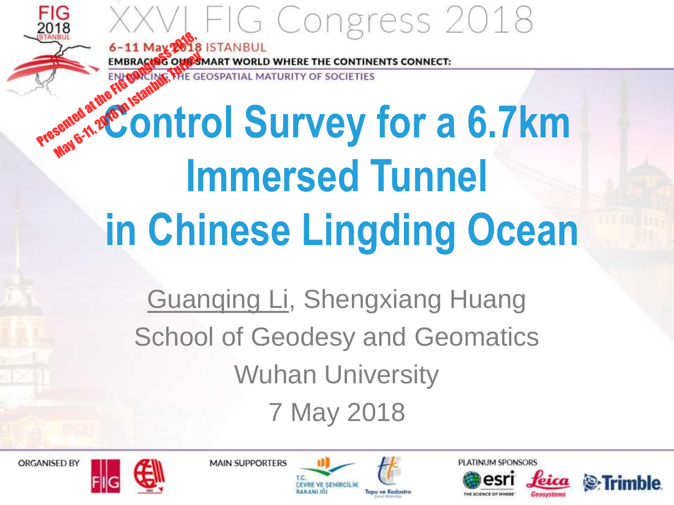OF SOCIETIES

# **CONTROL SURVEY FOR A 6-11 May 2018 ISTANBUL**<br>
ENFORCING THE GEOSPATIAL MATURITY OF SOCIETIES<br>
Presented at the FIG CONGRESS 2018, AND CONGRESS 2018, A REAL MATURITY OF SOCIETIES **Immersed Tunnel in Chinese Lingding Ocean** May 6-11, 2018 in Istanbul, The Ge

Guanqing Li, Shengxiang Huang School of Geodesy and Geomatics Wuhan University 7 May 2018







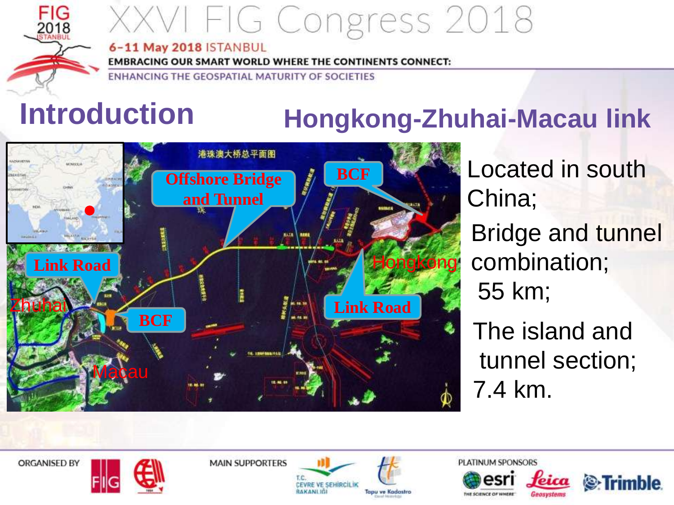

#### 6-11 May 2018 ISTANBUL

**EMBRACING OUR SMART WORLD WHERE THE CONTINENTS CONNECT:** 

ENHANCING THE GEOSPATIAL MATURITY OF SOCIETIES

### **Introduction**

#### **Hongkong-Zhuhai-Macau link**



Bridge and tunnel combination; 55 km; Located in south China;

The island and tunnel section; 7.4 km.

**S**: Trimble

**ORGANISED BY** 

**MAIN SUPPORTERS** 



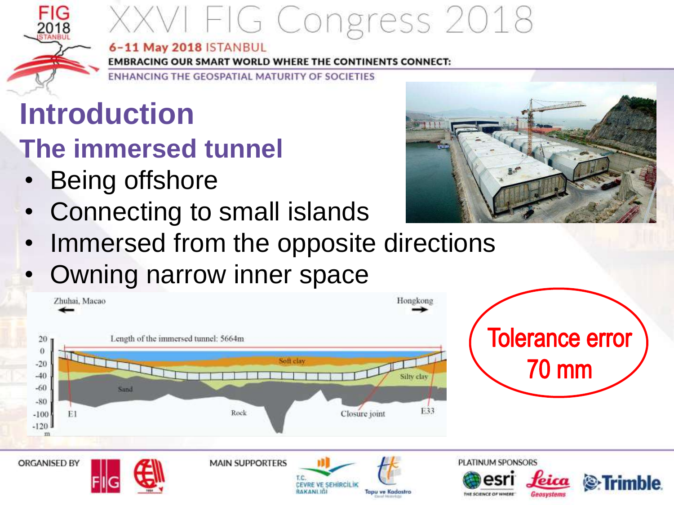#### 6-11 May 2018 ISTANBUL

**EMBRACING OUR SMART WORLD WHERE THE CONTINENTS CONNECT:** 

ENHANCING THE GEOSPATIAL MATURITY OF SOCIETIES

## **Introduction**

#### **The immersed tunnel**

- Being offshore
- Connecting to small islands



- Immersed from the opposite directions
- Owning narrow inner space

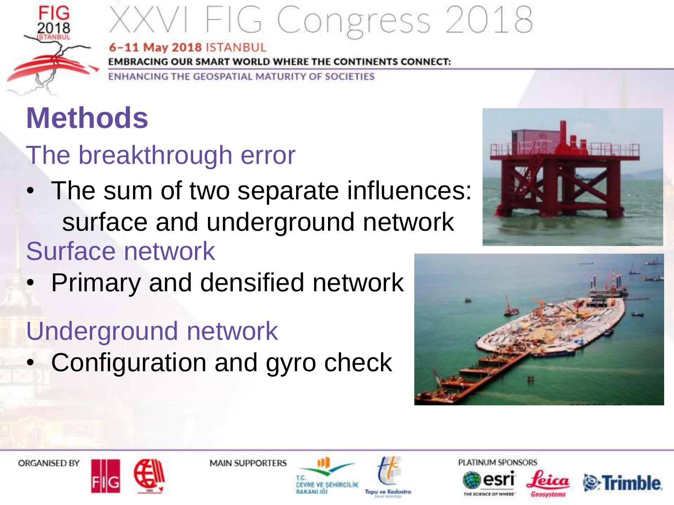

6-11 May 2018 ISTANBUL

**EMBRACING OUR SMART WORLD WHERE THE CONTINENTS CONNECT:** 

ENHANCING THE GEOSPATIAL MATURITY OF SOCIETIES

## **Methods**

The breakthrough error

- The sum of two separate influences: surface and underground network Surface network
- Primary and densified network

### Underground network

• Configuration and gyro check







**MAIN SUPPORTERS** 



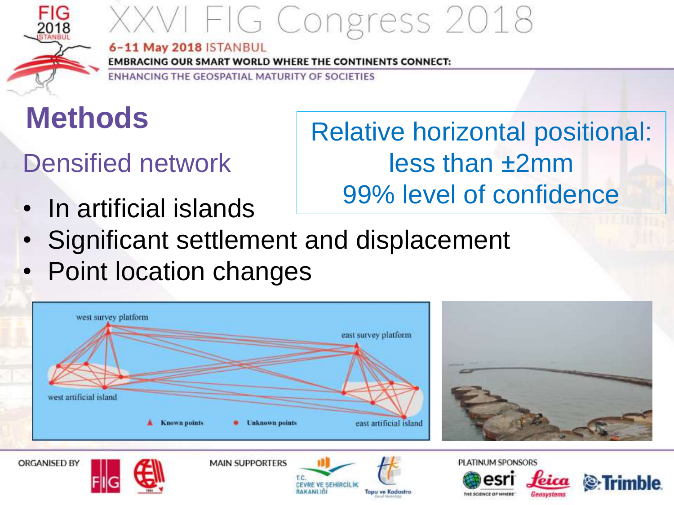

#### 6-11 May 2018 ISTANBUL

**EMBRACING OUR SMART WORLD WHERE THE CONTINENTS CONNECT:** 

ENHANCING THE GEOSPATIAL MATURITY OF SOCIETIES

### **Methods**

#### Densified network

• In artificial islands

#### Relative horizontal positional: less than ±2mm 99% level of confidence

- Significant settlement and displacement
- Point location changes

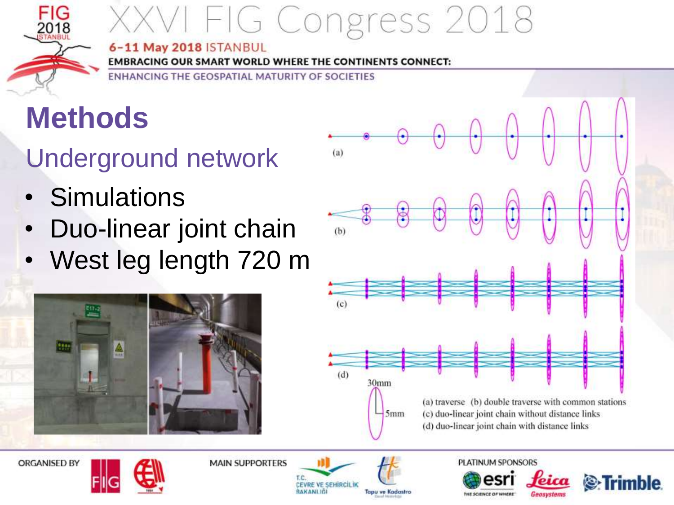

#### 6-11 May 2018 ISTANBUL

**EMBRACING OUR SMART WORLD WHERE THE CONTINENTS CONNECT:** 

ENHANCING THE GEOSPATIAL MATURITY OF SOCIETIES

### **Methods**

Underground network

- Simulations
- Duo-linear joint chain
- West leg length 720 m









**MAIN SUPPORTERS** 



PLATINUM SPONSORS

THE SCIENCE OF WHERE

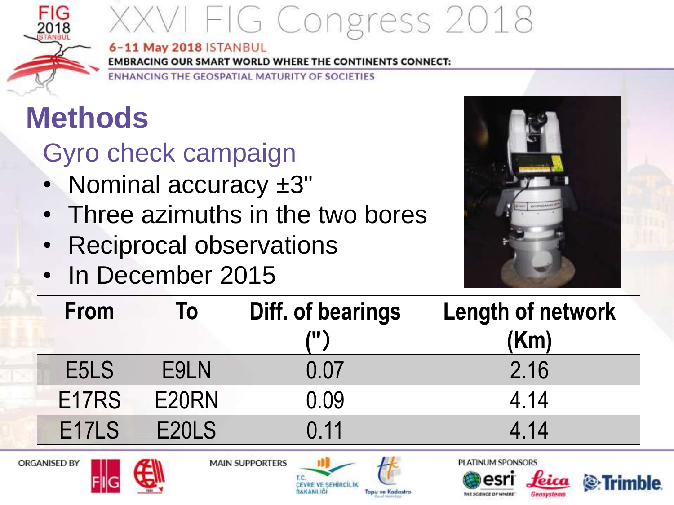

6-11 May 2018 ISTANBUL

**EMBRACING OUR SMART WORLD WHERE THE CONTINENTS CONNECT:** 

ENHANCING THE GEOSPATIAL MATURITY OF SOCIETIES

### **Methods**

Gyro check campaign

- Nominal accuracy ±3"
- Three azimuths in the two bores
- Reciprocal observations
- In December 2015



**HE SCIENCE OF WHERE** 

Geosystems

**S** Trimble

| From                | To    | Diff. of bearings<br>/11 \ | <b>Length of network</b><br>(Km)                                                    |
|---------------------|-------|----------------------------|-------------------------------------------------------------------------------------|
| E <sub>5</sub> LS   | E9LN  | 0.07                       | 2.16                                                                                |
| E <sub>17</sub> RS  | E20RN | 0.09                       | 4.14                                                                                |
| E <sub>17</sub> LS  | E20LS | 0.11                       | 4.14                                                                                |
| <b>ORGANISED BY</b> |       | <b>MAIN SUPPORTERS</b>     | PLATINUM SPONSORS<br>$\mathbf{a}$ $\mathbf{a}$<br>the company's company's company's |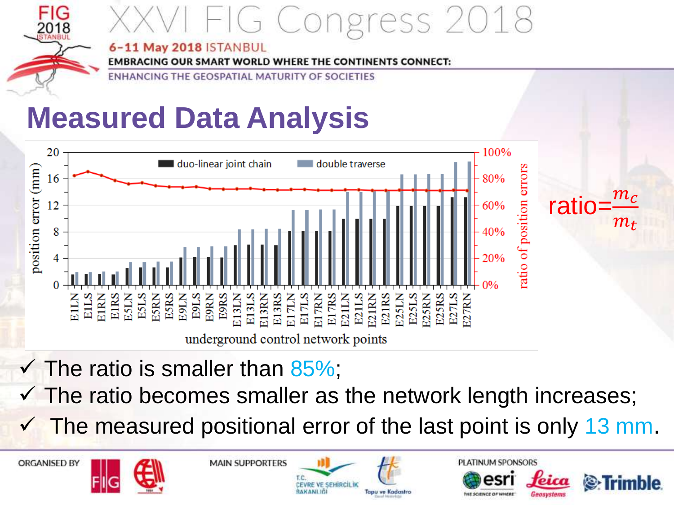

## G Congress 2

#### 6-11 May 2018 ISTANBUL

**EMBRACING OUR SMART WORLD WHERE** NTS CONNECT:

ENHANCING THE GEOSPATIAL MATURITY **OF SOCIETIES** 

### **Measured Data Analysis**



- $\checkmark$  The ratio is smaller than 85%;
- $\checkmark$  The ratio becomes smaller as the network length increases;
- $\checkmark$  The measured positional error of the last point is only 13 mm.











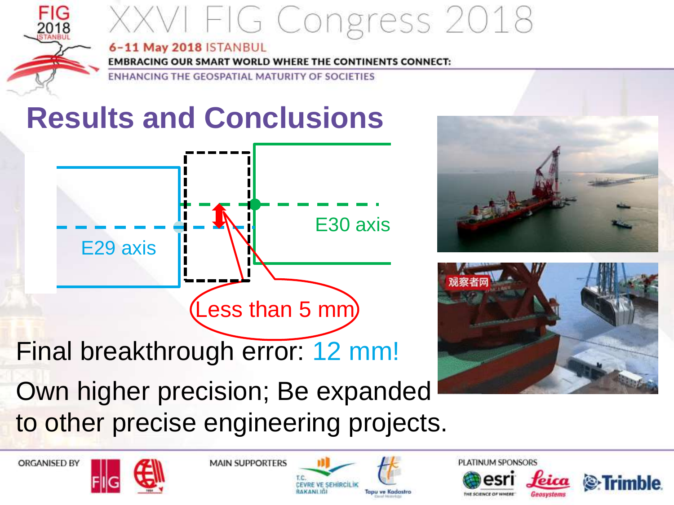

#### 6-11 May 2018 ISTANBUL

**EMBRACING OUR SMART WORLD WHERE THE CONTINENTS CONNECT:** 

ENHANCING THE GEOSPATIAL MATURITY OF SOCIETIES

### **Results and Conclusions**







**ORGANISED BY**